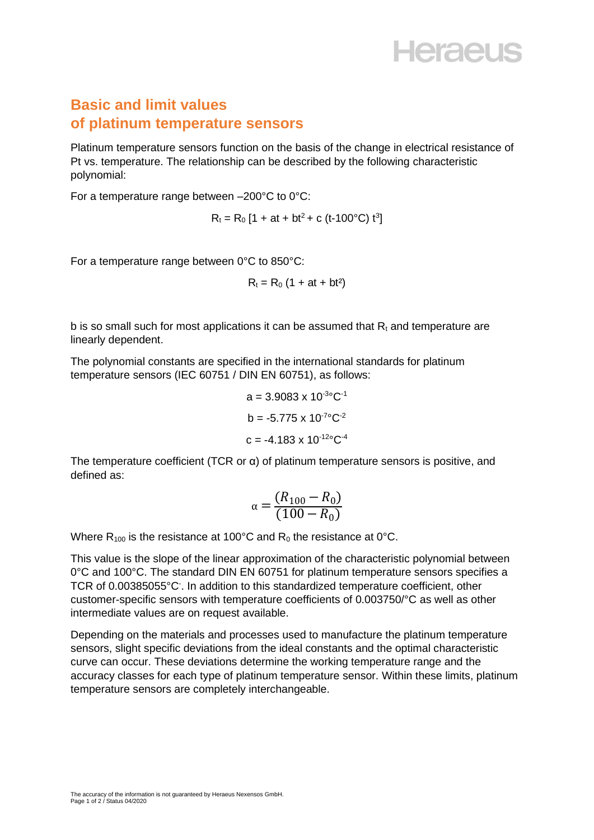## **Heraeus**

## **Basic and limit values of platinum temperature sensors**

Platinum temperature sensors function on the basis of the change in electrical resistance of Pt vs. temperature. The relationship can be described by the following characteristic polynomial:

For a temperature range between –200°C to 0°C:

 $R_t = R_0 [1 + at + bt^2 + c (t-100^{\circ}C) t^3]$ 

For a temperature range between 0°C to 850°C:

$$
R_t = R_0 (1 + at + bt^2)
$$

b is so small such for most applications it can be assumed that  $R_t$  and temperature are linearly dependent.

The polynomial constants are specified in the international standards for platinum temperature sensors (IEC 60751 / DIN EN 60751), as follows:

$$
a = 3.9083 \times 10^{30} \text{C}^{-1}
$$

$$
b = -5.775 \times 10^{-70} \text{C}^{-2}
$$

$$
c = -4.183 \times 10^{-120} \text{C}^{-4}
$$

The temperature coefficient (TCR or α) of platinum temperature sensors is positive, and defined as:

$$
\alpha = \frac{(R_{100} - R_0)}{(100 - R_0)}
$$

Where  $R_{100}$  is the resistance at 100°C and  $R_0$  the resistance at 0°C.

This value is the slope of the linear approximation of the characteristic polynomial between 0°C and 100°C. The standard DIN EN 60751 for platinum temperature sensors specifies a TCR of 0.00385055°C. In addition to this standardized temperature coefficient, other customer-specific sensors with temperature coefficients of 0.003750/°C as well as other intermediate values are on request available.

Depending on the materials and processes used to manufacture the platinum temperature sensors, slight specific deviations from the ideal constants and the optimal characteristic curve can occur. These deviations determine the working temperature range and the accuracy classes for each type of platinum temperature sensor. Within these limits, platinum temperature sensors are completely interchangeable.